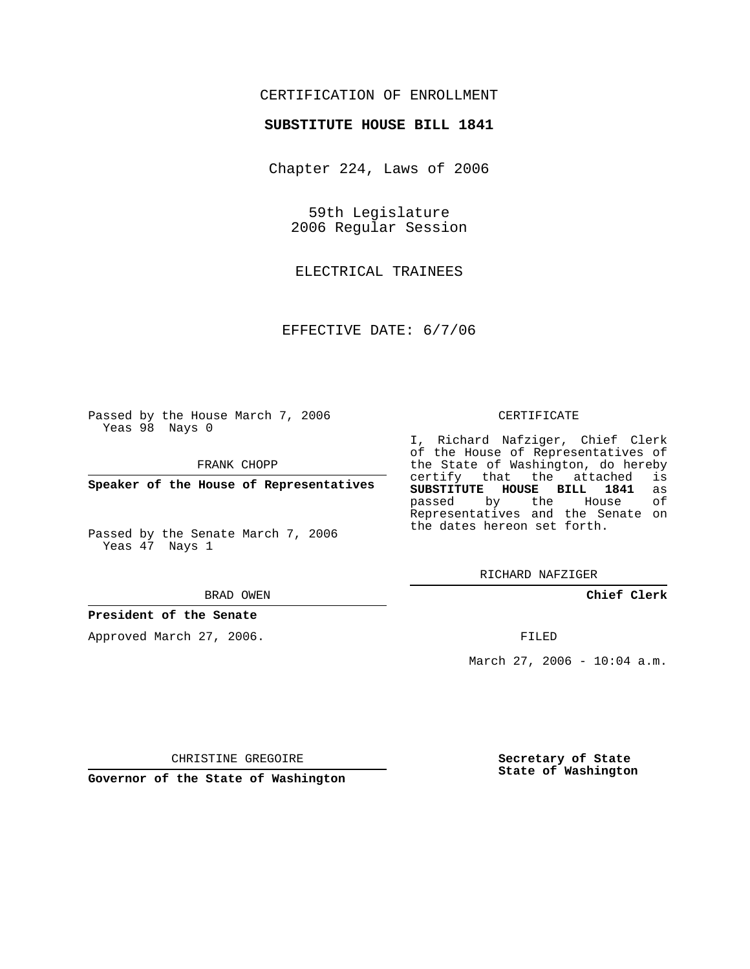## CERTIFICATION OF ENROLLMENT

#### **SUBSTITUTE HOUSE BILL 1841**

Chapter 224, Laws of 2006

59th Legislature 2006 Regular Session

ELECTRICAL TRAINEES

EFFECTIVE DATE: 6/7/06

Passed by the House March 7, 2006 Yeas 98 Nays 0

FRANK CHOPP

**Speaker of the House of Representatives**

Passed by the Senate March 7, 2006 Yeas 47 Nays 1

#### BRAD OWEN

#### **President of the Senate**

Approved March 27, 2006.

#### CERTIFICATE

I, Richard Nafziger, Chief Clerk of the House of Representatives of the State of Washington, do hereby<br>certify that the attached is certify that the attached **SUBSTITUTE HOUSE BILL 1841** as passed by the House Representatives and the Senate on the dates hereon set forth.

RICHARD NAFZIGER

**Chief Clerk**

FILED

March 27, 2006 - 10:04 a.m.

CHRISTINE GREGOIRE

**Governor of the State of Washington**

**Secretary of State State of Washington**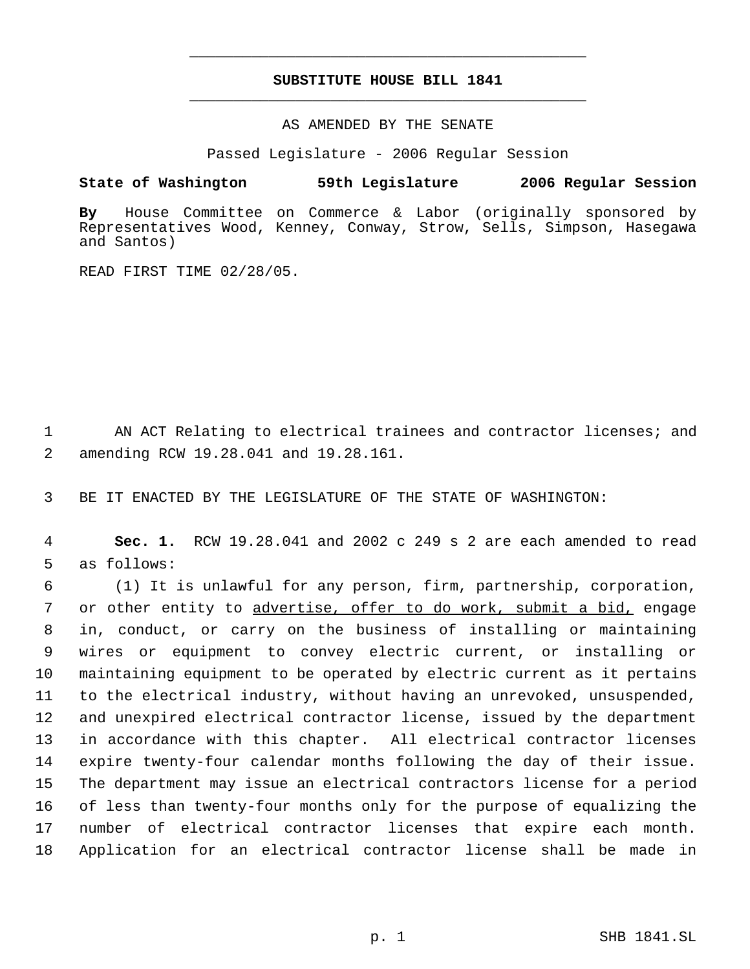# **SUBSTITUTE HOUSE BILL 1841** \_\_\_\_\_\_\_\_\_\_\_\_\_\_\_\_\_\_\_\_\_\_\_\_\_\_\_\_\_\_\_\_\_\_\_\_\_\_\_\_\_\_\_\_\_

\_\_\_\_\_\_\_\_\_\_\_\_\_\_\_\_\_\_\_\_\_\_\_\_\_\_\_\_\_\_\_\_\_\_\_\_\_\_\_\_\_\_\_\_\_

AS AMENDED BY THE SENATE

Passed Legislature - 2006 Regular Session

### **State of Washington 59th Legislature 2006 Regular Session**

**By** House Committee on Commerce & Labor (originally sponsored by Representatives Wood, Kenney, Conway, Strow, Sells, Simpson, Hasegawa and Santos)

READ FIRST TIME 02/28/05.

1 AN ACT Relating to electrical trainees and contractor licenses; and 2 amending RCW 19.28.041 and 19.28.161.

3 BE IT ENACTED BY THE LEGISLATURE OF THE STATE OF WASHINGTON:

 4 **Sec. 1.** RCW 19.28.041 and 2002 c 249 s 2 are each amended to read 5 as follows:

 (1) It is unlawful for any person, firm, partnership, corporation, 7 or other entity to advertise, offer to do work, submit a bid, engage in, conduct, or carry on the business of installing or maintaining wires or equipment to convey electric current, or installing or maintaining equipment to be operated by electric current as it pertains to the electrical industry, without having an unrevoked, unsuspended, and unexpired electrical contractor license, issued by the department in accordance with this chapter. All electrical contractor licenses expire twenty-four calendar months following the day of their issue. The department may issue an electrical contractors license for a period of less than twenty-four months only for the purpose of equalizing the number of electrical contractor licenses that expire each month. Application for an electrical contractor license shall be made in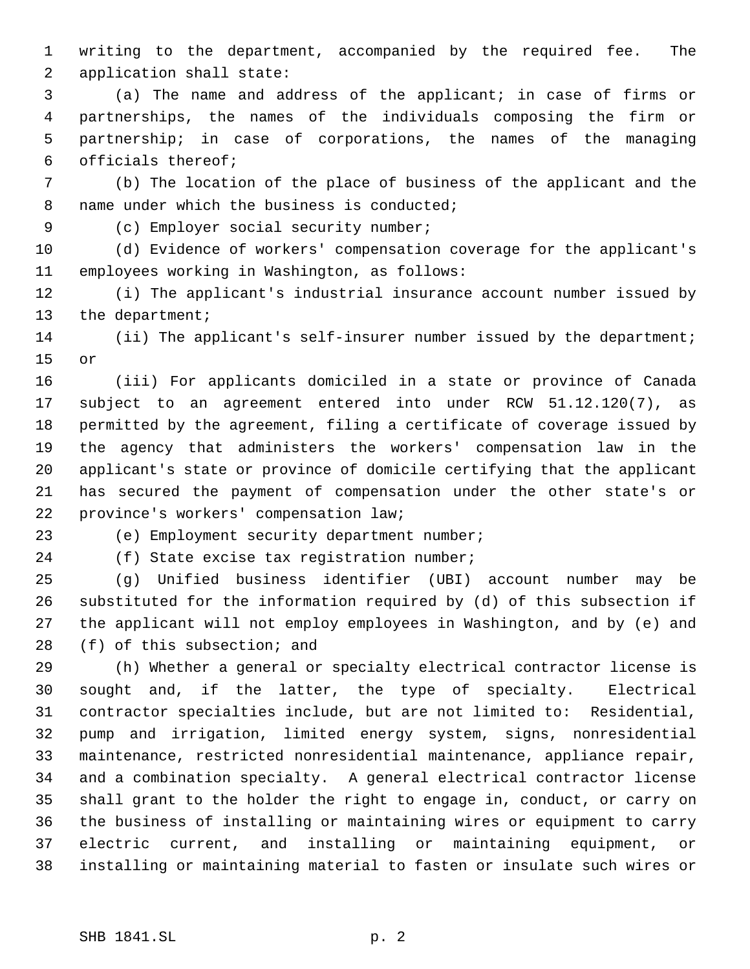writing to the department, accompanied by the required fee. The application shall state:

 (a) The name and address of the applicant; in case of firms or partnerships, the names of the individuals composing the firm or partnership; in case of corporations, the names of the managing officials thereof;

 (b) The location of the place of business of the applicant and the 8 name under which the business is conducted;

(c) Employer social security number;

 (d) Evidence of workers' compensation coverage for the applicant's employees working in Washington, as follows:

 (i) The applicant's industrial insurance account number issued by 13 the department;

 (ii) The applicant's self-insurer number issued by the department; or

 (iii) For applicants domiciled in a state or province of Canada subject to an agreement entered into under RCW 51.12.120(7), as permitted by the agreement, filing a certificate of coverage issued by the agency that administers the workers' compensation law in the applicant's state or province of domicile certifying that the applicant has secured the payment of compensation under the other state's or province's workers' compensation law;

(e) Employment security department number;

(f) State excise tax registration number;

 (g) Unified business identifier (UBI) account number may be substituted for the information required by (d) of this subsection if the applicant will not employ employees in Washington, and by (e) and (f) of this subsection; and

 (h) Whether a general or specialty electrical contractor license is sought and, if the latter, the type of specialty. Electrical contractor specialties include, but are not limited to: Residential, pump and irrigation, limited energy system, signs, nonresidential maintenance, restricted nonresidential maintenance, appliance repair, and a combination specialty. A general electrical contractor license shall grant to the holder the right to engage in, conduct, or carry on the business of installing or maintaining wires or equipment to carry electric current, and installing or maintaining equipment, or installing or maintaining material to fasten or insulate such wires or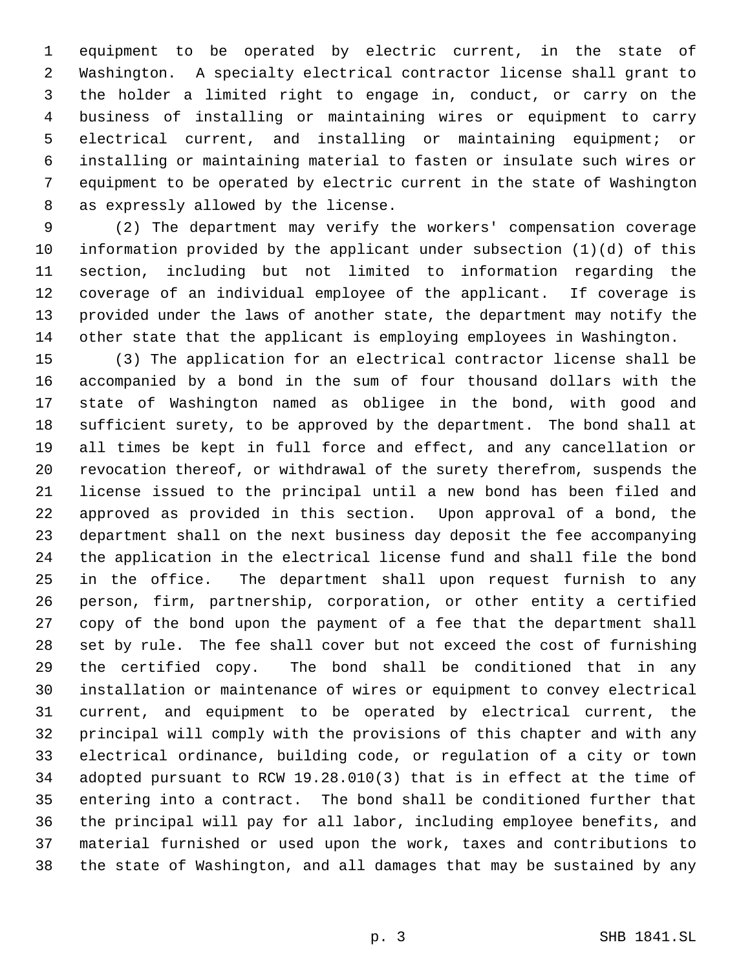equipment to be operated by electric current, in the state of Washington. A specialty electrical contractor license shall grant to the holder a limited right to engage in, conduct, or carry on the business of installing or maintaining wires or equipment to carry electrical current, and installing or maintaining equipment; or installing or maintaining material to fasten or insulate such wires or equipment to be operated by electric current in the state of Washington as expressly allowed by the license.

 (2) The department may verify the workers' compensation coverage information provided by the applicant under subsection (1)(d) of this section, including but not limited to information regarding the coverage of an individual employee of the applicant. If coverage is provided under the laws of another state, the department may notify the other state that the applicant is employing employees in Washington.

 (3) The application for an electrical contractor license shall be accompanied by a bond in the sum of four thousand dollars with the state of Washington named as obligee in the bond, with good and sufficient surety, to be approved by the department. The bond shall at all times be kept in full force and effect, and any cancellation or revocation thereof, or withdrawal of the surety therefrom, suspends the license issued to the principal until a new bond has been filed and approved as provided in this section. Upon approval of a bond, the department shall on the next business day deposit the fee accompanying the application in the electrical license fund and shall file the bond in the office. The department shall upon request furnish to any person, firm, partnership, corporation, or other entity a certified copy of the bond upon the payment of a fee that the department shall set by rule. The fee shall cover but not exceed the cost of furnishing the certified copy. The bond shall be conditioned that in any installation or maintenance of wires or equipment to convey electrical current, and equipment to be operated by electrical current, the principal will comply with the provisions of this chapter and with any electrical ordinance, building code, or regulation of a city or town adopted pursuant to RCW 19.28.010(3) that is in effect at the time of entering into a contract. The bond shall be conditioned further that the principal will pay for all labor, including employee benefits, and material furnished or used upon the work, taxes and contributions to the state of Washington, and all damages that may be sustained by any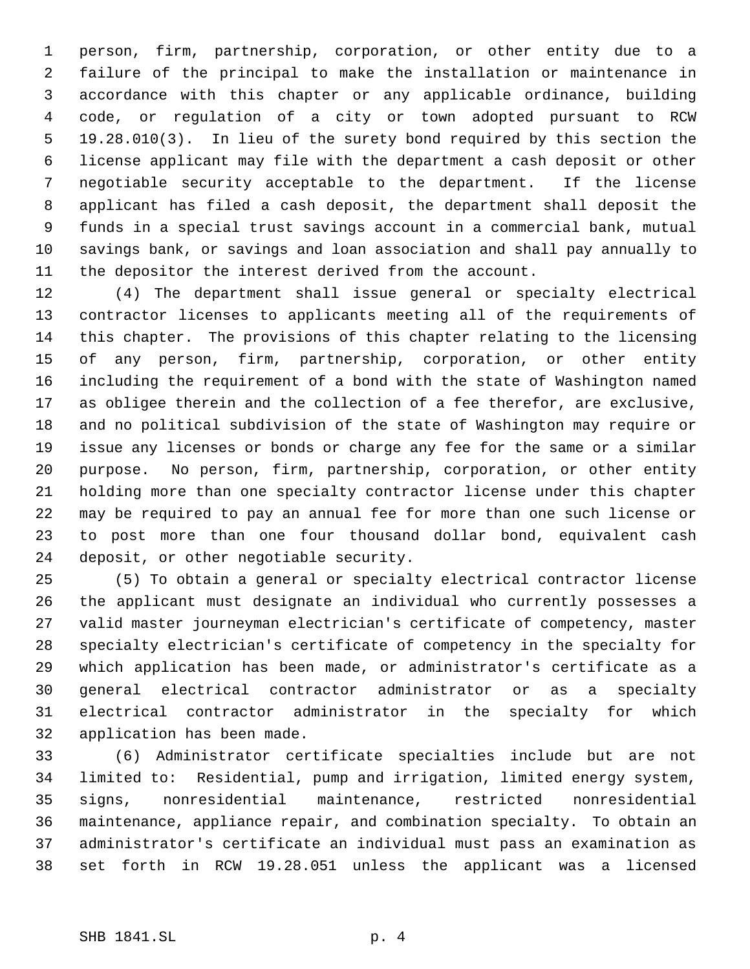person, firm, partnership, corporation, or other entity due to a failure of the principal to make the installation or maintenance in accordance with this chapter or any applicable ordinance, building code, or regulation of a city or town adopted pursuant to RCW 19.28.010(3). In lieu of the surety bond required by this section the license applicant may file with the department a cash deposit or other negotiable security acceptable to the department. If the license applicant has filed a cash deposit, the department shall deposit the funds in a special trust savings account in a commercial bank, mutual savings bank, or savings and loan association and shall pay annually to the depositor the interest derived from the account.

 (4) The department shall issue general or specialty electrical contractor licenses to applicants meeting all of the requirements of this chapter. The provisions of this chapter relating to the licensing of any person, firm, partnership, corporation, or other entity including the requirement of a bond with the state of Washington named as obligee therein and the collection of a fee therefor, are exclusive, and no political subdivision of the state of Washington may require or issue any licenses or bonds or charge any fee for the same or a similar purpose. No person, firm, partnership, corporation, or other entity holding more than one specialty contractor license under this chapter may be required to pay an annual fee for more than one such license or to post more than one four thousand dollar bond, equivalent cash deposit, or other negotiable security.

 (5) To obtain a general or specialty electrical contractor license the applicant must designate an individual who currently possesses a valid master journeyman electrician's certificate of competency, master specialty electrician's certificate of competency in the specialty for which application has been made, or administrator's certificate as a general electrical contractor administrator or as a specialty electrical contractor administrator in the specialty for which application has been made.

 (6) Administrator certificate specialties include but are not limited to: Residential, pump and irrigation, limited energy system, signs, nonresidential maintenance, restricted nonresidential maintenance, appliance repair, and combination specialty. To obtain an administrator's certificate an individual must pass an examination as set forth in RCW 19.28.051 unless the applicant was a licensed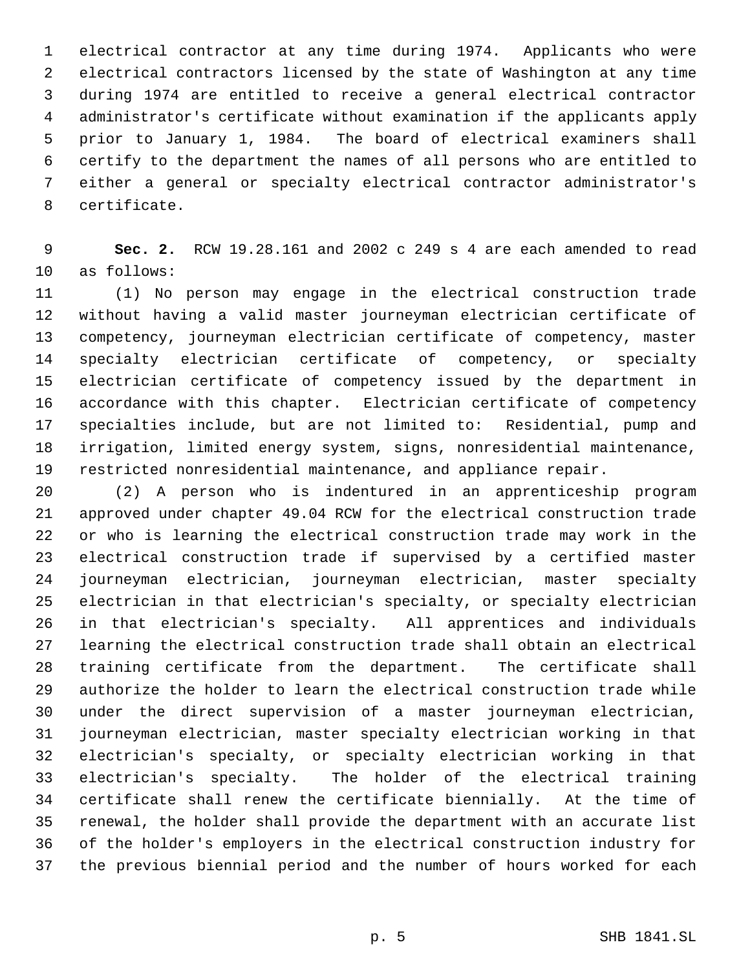electrical contractor at any time during 1974. Applicants who were electrical contractors licensed by the state of Washington at any time during 1974 are entitled to receive a general electrical contractor administrator's certificate without examination if the applicants apply prior to January 1, 1984. The board of electrical examiners shall certify to the department the names of all persons who are entitled to either a general or specialty electrical contractor administrator's certificate.

 **Sec. 2.** RCW 19.28.161 and 2002 c 249 s 4 are each amended to read as follows:

 (1) No person may engage in the electrical construction trade without having a valid master journeyman electrician certificate of competency, journeyman electrician certificate of competency, master specialty electrician certificate of competency, or specialty electrician certificate of competency issued by the department in accordance with this chapter. Electrician certificate of competency specialties include, but are not limited to: Residential, pump and irrigation, limited energy system, signs, nonresidential maintenance, restricted nonresidential maintenance, and appliance repair.

 (2) A person who is indentured in an apprenticeship program approved under chapter 49.04 RCW for the electrical construction trade or who is learning the electrical construction trade may work in the electrical construction trade if supervised by a certified master journeyman electrician, journeyman electrician, master specialty electrician in that electrician's specialty, or specialty electrician in that electrician's specialty. All apprentices and individuals learning the electrical construction trade shall obtain an electrical training certificate from the department. The certificate shall authorize the holder to learn the electrical construction trade while under the direct supervision of a master journeyman electrician, journeyman electrician, master specialty electrician working in that electrician's specialty, or specialty electrician working in that electrician's specialty. The holder of the electrical training certificate shall renew the certificate biennially. At the time of renewal, the holder shall provide the department with an accurate list of the holder's employers in the electrical construction industry for the previous biennial period and the number of hours worked for each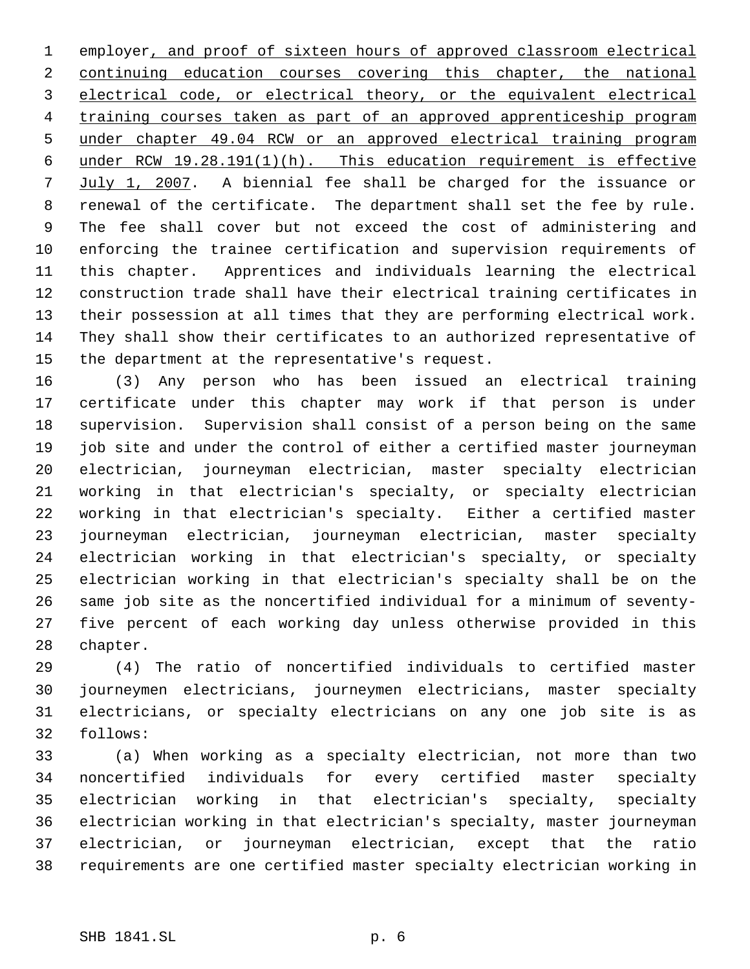employer, and proof of sixteen hours of approved classroom electrical continuing education courses covering this chapter, the national electrical code, or electrical theory, or the equivalent electrical training courses taken as part of an approved apprenticeship program under chapter 49.04 RCW or an approved electrical training program under RCW 19.28.191(1)(h). This education requirement is effective July 1, 2007. A biennial fee shall be charged for the issuance or renewal of the certificate. The department shall set the fee by rule. The fee shall cover but not exceed the cost of administering and enforcing the trainee certification and supervision requirements of this chapter. Apprentices and individuals learning the electrical construction trade shall have their electrical training certificates in their possession at all times that they are performing electrical work. They shall show their certificates to an authorized representative of the department at the representative's request.

 (3) Any person who has been issued an electrical training certificate under this chapter may work if that person is under supervision. Supervision shall consist of a person being on the same job site and under the control of either a certified master journeyman electrician, journeyman electrician, master specialty electrician working in that electrician's specialty, or specialty electrician working in that electrician's specialty. Either a certified master journeyman electrician, journeyman electrician, master specialty electrician working in that electrician's specialty, or specialty electrician working in that electrician's specialty shall be on the same job site as the noncertified individual for a minimum of seventy- five percent of each working day unless otherwise provided in this chapter.

 (4) The ratio of noncertified individuals to certified master journeymen electricians, journeymen electricians, master specialty electricians, or specialty electricians on any one job site is as follows:

 (a) When working as a specialty electrician, not more than two noncertified individuals for every certified master specialty electrician working in that electrician's specialty, specialty electrician working in that electrician's specialty, master journeyman electrician, or journeyman electrician, except that the ratio requirements are one certified master specialty electrician working in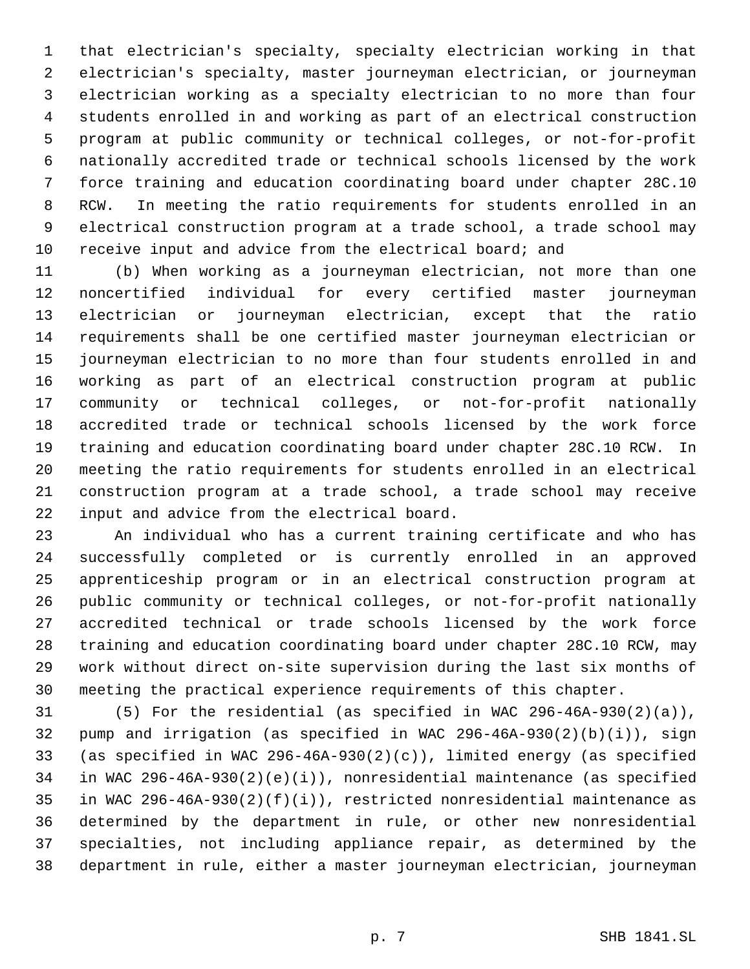that electrician's specialty, specialty electrician working in that electrician's specialty, master journeyman electrician, or journeyman electrician working as a specialty electrician to no more than four students enrolled in and working as part of an electrical construction program at public community or technical colleges, or not-for-profit nationally accredited trade or technical schools licensed by the work force training and education coordinating board under chapter 28C.10 RCW. In meeting the ratio requirements for students enrolled in an electrical construction program at a trade school, a trade school may receive input and advice from the electrical board; and

 (b) When working as a journeyman electrician, not more than one noncertified individual for every certified master journeyman electrician or journeyman electrician, except that the ratio requirements shall be one certified master journeyman electrician or journeyman electrician to no more than four students enrolled in and working as part of an electrical construction program at public community or technical colleges, or not-for-profit nationally accredited trade or technical schools licensed by the work force training and education coordinating board under chapter 28C.10 RCW. In meeting the ratio requirements for students enrolled in an electrical construction program at a trade school, a trade school may receive input and advice from the electrical board.

 An individual who has a current training certificate and who has successfully completed or is currently enrolled in an approved apprenticeship program or in an electrical construction program at public community or technical colleges, or not-for-profit nationally accredited technical or trade schools licensed by the work force training and education coordinating board under chapter 28C.10 RCW, may work without direct on-site supervision during the last six months of meeting the practical experience requirements of this chapter.

 (5) For the residential (as specified in WAC 296-46A-930(2)(a)), pump and irrigation (as specified in WAC 296-46A-930(2)(b)(i)), sign (as specified in WAC 296-46A-930(2)(c)), limited energy (as specified in WAC 296-46A-930(2)(e)(i)), nonresidential maintenance (as specified in WAC 296-46A-930(2)(f)(i)), restricted nonresidential maintenance as determined by the department in rule, or other new nonresidential specialties, not including appliance repair, as determined by the department in rule, either a master journeyman electrician, journeyman